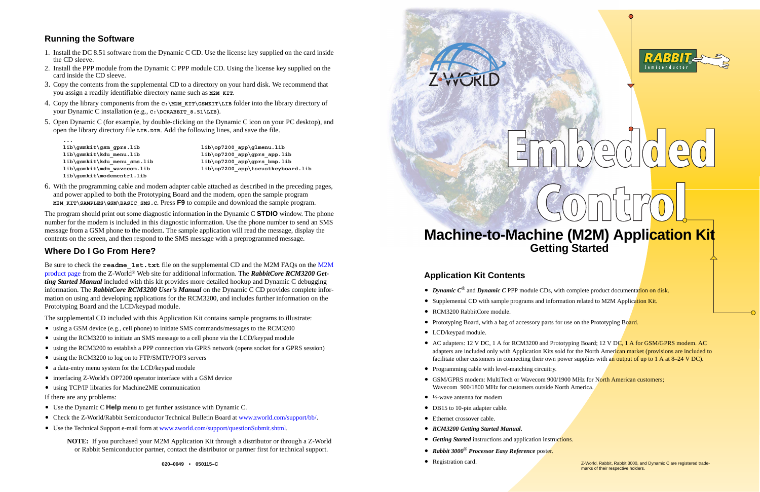



# ∩

# **Machine-to-Machine (M2M) Application Kit Getting Started**

# **Application Kit Contents**

- *Dynamic C*<sup>®</sup> and *Dynamic C* PPP module CDs, with complete product documentation on disk.
- Supplemental CD with sample programs and information related to M2M Application Kit.
- RCM3200 RabbitCore module.
- Prototyping Board, with a bag of accessory parts for use on the Prototyping Board.
- **•** LCD/keypad module.
- AC adapters: 12 V DC, 1 A for RCM3200 and Prototyping Board; 12 V DC, 1 A for GSM/GPRS modem. AC adapters are included only with Application Kits sold for the North American market (provisions are included to facilitate other customers in connecting their own power supplies with an output of up to 1 A at 8–24 V DC).
- **•** Programming cable with level-matching circuitry.
- GSM/GPRS modem: MultiTech or Wavecom 900/1900 MHz for North American customers; Wavecom 900/1800 MHz for customers outside North America.
- **•** ½-wave antenna for modem
- **DB15** to 10-pin adapter cable.
- **•** Ethernet crossover cable.
- **•** *RCM3200 Getting Started Manual*.
- **•** *Getting Started* instructions and application instructions.
- **•** *Rabbit 3000 ® Processor Easy Reference* poster.
- **•**Registration card.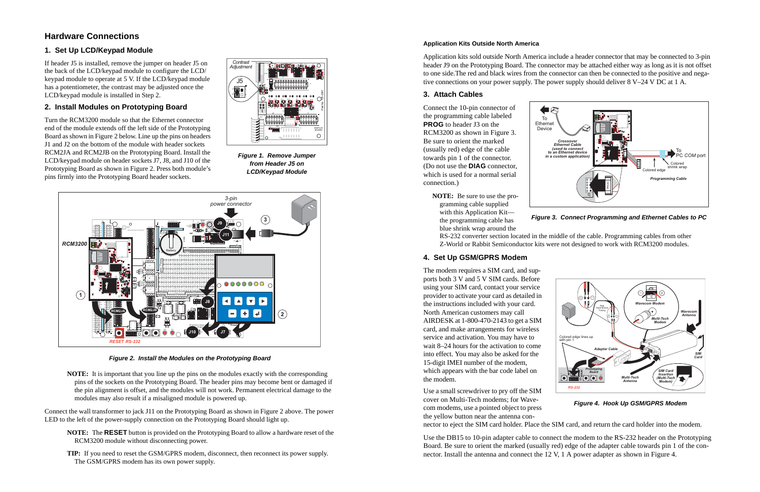# **Hardware Connections**

### **1. Set Up LCD/Keypad Module**

If header J5 is installed, remove the jumper on header J5 on the back of the LCD/keypad module to configure the LCD/ keypad module to operate at 5 V. If the LCD/keypad module has a potentiometer, the contrast may be adjusted once the LCD/keypad module is installed in Step 2.

### **2. Install Modules on Prototyping Board**

Turn the RCM3200 module so that the Ethernet connector end of the module extends off the left side of the Prototyping Board as shown in Figure 2 below. Line up the pins on headers J1 and J2 on the bottom of the module with header sockets RCM2JA and RCM2JB on the Prototyping Board. Install the LCD/keypad module on header sockets J7, J8, and J10 of the Prototyping Board as shown in Figure 2. Press both module's pins firmly into the Prototyping Board header sockets.



*Figure 1. Remove Jumper from Header J5 on LCD/Keypad Module*



*Figure 2. Install the Modules on the Prototyping Board*

**NOTE:** It is important that you line up the pins on the modules exactly with the corresponding pins of the sockets on the Prototyping Board. The header pins may become bent or damaged if the pin alignment is offset, and the modules will not work. Permanent electrical damage to the modules may also result if a misaligned module is powered up.

Connect the wall transformer to jack J11 on the Prototyping Board as shown in Figure 2 above. The power LED to the left of the power-supply connection on the Prototyping Board should light up.

- **NOTE:** The **RESET** button is provided on the Prototyping Board to allow a hardware reset of the RCM3200 module without disconnecting power.
- **TIP:** If you need to reset the GSM/GPRS modem, disconnect, then reconnect its power supply. The GSM/GPRS modem has its own power supply.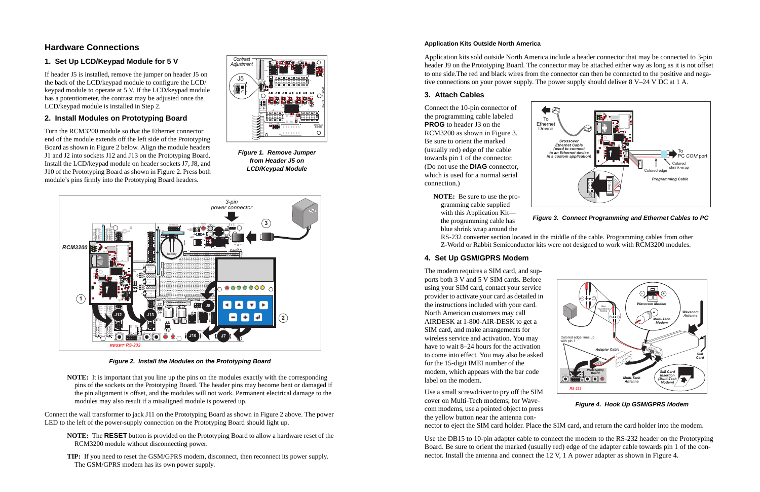### **Application Kits Outside North America**

Application kits sold outside North America include a header connector that may be connected to 3-pin header J9 on the Prototyping Board. The connector may be attached either way as long as it is not offset to one side.The red and black wires from the connector can then be connected to the positive and negative connections on your power supply. The power supply should deliver 8 V–24 V DC at 1 A.

### **3. Attach Cables**

Connect the 10-pin connector of the programming cable labeled **PROG** to header J3 on the RCM3200 as shown in Figure 3. Be sure to orient the marked (usually red) edge of the cable towards pin 1 of the connector. (Do not use the **DIAG** connector, which is used for a normal serial connection.)

> **NOTE:** Be sure to use the programming cable supplied with this Application Kit the programming cable has blue shrink wrap around the



**Figure 3. Connect Programming and Ethernet Cables to PC**

RS-232 converter section located in the middle of the cable. Programming cables from other Z-World or Rabbit Semiconductor kits were not designed to work with RCM3200 modules.

### **4. Set Up GSM/GPRS Modem**

The modem requires a SIM card, and supports both 3 V and 5 V SIM cards. Before using your SIM card, contact your service provider to activate your card as detailed in the instructions included with your card. North American customers may call AIRDESK at 1-800-AIR-DESK to get a SIM card, and make arrangements for wireless service and activation. You may have to wait 8–24 hours for the activation to come into effect. You may also be asked for the 15-digit IMEI number of the modem, which appears with the bar code label on the modem.

Use a small screwdriver to pry off the SIM cover on Multi-Tech modems; for Wavecom modems, use a pointed object to press the yellow button near the antenna con-



**Figure 4. Hook Up GSM/GPRS Modem**

nector to eject the SIM card holder. Place the SIM card, and return the card holder into the modem.

Use the DB15 to 10-pin adapter cable to connect the modem to the RS-232 header on the Prototyping Board. Be sure to orient the marked (usually red) edge of the adapter cable towards pin 1 of the connector. Install the antenna and connect the 12 V, 1 A power adapter as shown in Figure 4.